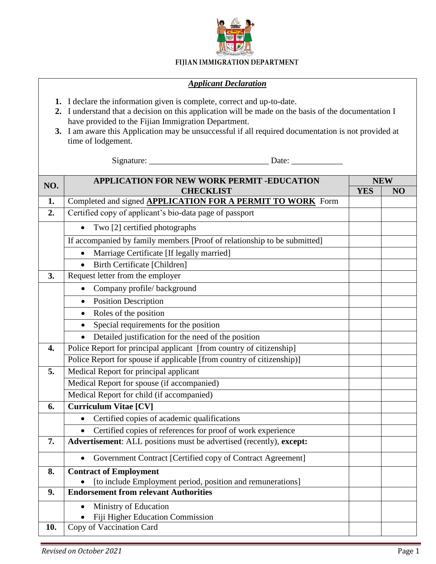

## FIJIAN IMMIGRATION DEPARTMENT

## *Applicant Declaration*

- **1.** I declare the information given is complete, correct and up-to-date.
- **2.** I understand that a decision on this application will be made on the basis of the documentation I have provided to the Fijian Immigration Department.
- **3.** I am aware this Application may be unsuccessful if all required documentation is not provided at time of lodgement.

Signature: \_\_\_\_\_\_\_\_\_\_\_\_\_\_\_\_\_\_\_\_\_\_\_\_\_\_\_\_ Date: \_\_\_\_\_\_\_\_\_\_\_\_

| NO.              | <b>APPLICATION FOR NEW WORK PERMIT -EDUCATION</b>                        |            | <b>NEW</b> |  |
|------------------|--------------------------------------------------------------------------|------------|------------|--|
|                  | <b>CHECKLIST</b>                                                         | <b>YES</b> | NO         |  |
| 1.               | Completed and signed <b>APPLICATION FOR A PERMIT TO WORK</b> Form        |            |            |  |
| 2.               | Certified copy of applicant's bio-data page of passport                  |            |            |  |
|                  | Two [2] certified photographs<br>$\bullet$                               |            |            |  |
|                  | If accompanied by family members [Proof of relationship to be submitted] |            |            |  |
|                  | Marriage Certificate [If legally married]<br>$\bullet$                   |            |            |  |
|                  | <b>Birth Certificate [Children]</b><br>$\bullet$                         |            |            |  |
| 3.               | Request letter from the employer                                         |            |            |  |
|                  | Company profile/background<br>$\bullet$                                  |            |            |  |
|                  | <b>Position Description</b><br>$\bullet$                                 |            |            |  |
|                  | Roles of the position<br>$\bullet$                                       |            |            |  |
|                  | Special requirements for the position<br>$\bullet$                       |            |            |  |
|                  | Detailed justification for the need of the position<br>$\bullet$         |            |            |  |
| $\overline{4}$ . | Police Report for principal applicant [from country of citizenship]      |            |            |  |
|                  | Police Report for spouse if applicable [from country of citizenship)]    |            |            |  |
| 5.               | Medical Report for principal applicant                                   |            |            |  |
|                  | Medical Report for spouse (if accompanied)                               |            |            |  |
|                  | Medical Report for child (if accompanied)                                |            |            |  |
| 6.               | <b>Curriculum Vitae [CV]</b>                                             |            |            |  |
|                  | Certified copies of academic qualifications<br>$\bullet$                 |            |            |  |
|                  | Certified copies of references for proof of work experience<br>$\bullet$ |            |            |  |
| 7.               | Advertisement: ALL positions must be advertised (recently), except:      |            |            |  |
|                  | Government Contract [Certified copy of Contract Agreement]<br>$\bullet$  |            |            |  |
| 8.               | <b>Contract of Employment</b>                                            |            |            |  |
|                  | [to include Employment period, position and remunerations]               |            |            |  |
| 9.               | <b>Endorsement from relevant Authorities</b>                             |            |            |  |
|                  | Ministry of Education<br>$\bullet$                                       |            |            |  |
|                  | Fiji Higher Education Commission                                         |            |            |  |
| 10.              | Copy of Vaccination Card                                                 |            |            |  |